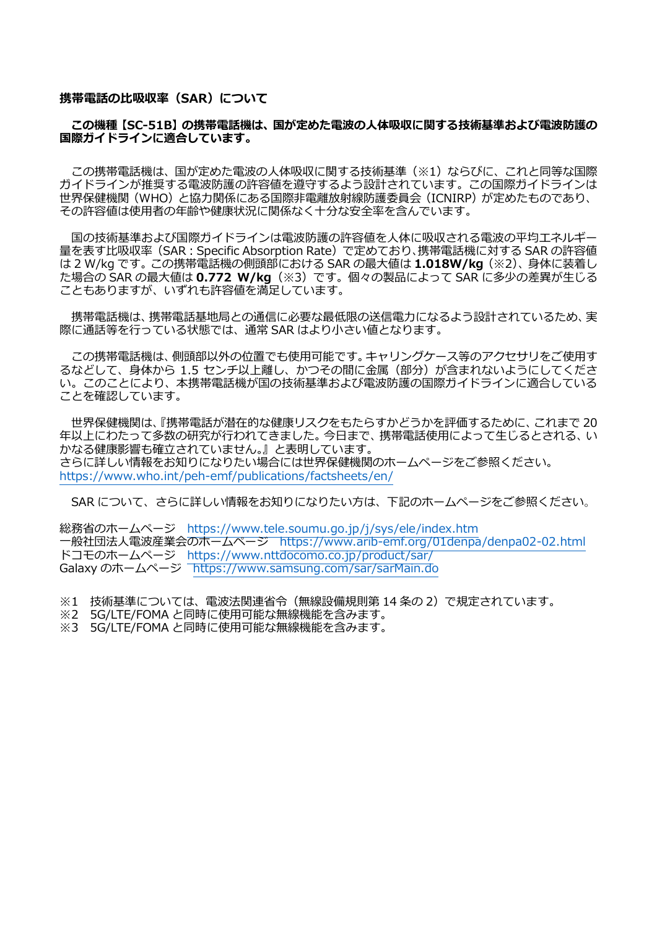#### **携帯電話の比吸収率(SAR)について**

#### **この機種【SC-51B】の携帯電話機は、国が定めた電波の人体吸収に関する技術基準および電波防護の 国際ガイドラインに適合しています。**

この携帯電話機は、国が定めた電波の人体吸収に関する技術基準(※1)ならびに、これと同等な国際 ガイドラインが推奨する電波防護の許容値を遵守するよう設計されています。この国際ガイドラインは 世界保健機関(WHO)と協力関係にある国際非電離放射線防護委員会(ICNIRP)が定めたものであり、 その許容値は使用者の年齢や健康状況に関係なく十分な安全率を含んでいます。

国の技術基準および国際ガイドラインは電波防護の許容値を人体に吸収される電波の平均エネルギー 量を表す比吸収率(SAR:Specific Absorption Rate)で定めており、携帯電話機に対する SAR の許容値 は 2 W/kg です。この携帯電話機の側頭部における SAR の最大値は **1.018W/kg**(※2)、身体に装着し た場合の SAR の最大値は **0.772 W/kg**(※3)です。個々の製品によって SAR に多少の差異が生じる こともありますが、いずれも許容値を満足しています。

携帯電話機は、携帯電話基地局との通信に必要な最低限の送信電力になるよう設計されているため、実 際に通話等を行っている状態では、通常 SAR はより小さい値となります。

この携帯電話機は、側頭部以外の位置でも使用可能です。キャリングケース等のアクセサリをご使用す るなどして、身体から 1.5 センチ以上離し、かつその間に金属 (部分) が含まれないようにしてくださ い。このことにより、本携帯電話機が国の技術基準および電波防護の国際ガイドラインに適合している ことを確認しています。

世界保健機関は、『携帯電話が潜在的な健康リスクをもたらすかどうかを評価するために、これまで 20 年以上にわたって多数の研究が行われてきました。今日まで、携帯電話使用によって生じるとされる、い かなる健康影響も確立されていません。』と表明しています。 さらに詳しい情報をお知りになりたい場合には世界保健機関のホームページをご参照ください。 <https://www.who.int/peh-emf/publications/factsheets/en/>

SAR について、さらに詳しい情報をお知りになりたい方は、下記のホームページをご参照ください。

総務省のホームページ <https://www.tele.soumu.go.jp/j/sys/ele/index.htm> 一般社団法人電波産業会のホームページ <https://www.arib-emf.org/01denpa/denpa02-02.html> ドコモのホームページ <https://www.nttdocomo.co.jp/product/sar/> Galaxy のホームページ <https://www.samsung.com/sar/sarMain.do>

※1 技術基準については、電波法関連省令(無線設備規則第 14 条の 2)で規定されています。

- ※2 5G/LTE/FOMA と同時に使用可能な無線機能を含みます。
- ※3 5G/LTE/FOMA と同時に使用可能な無線機能を含みます。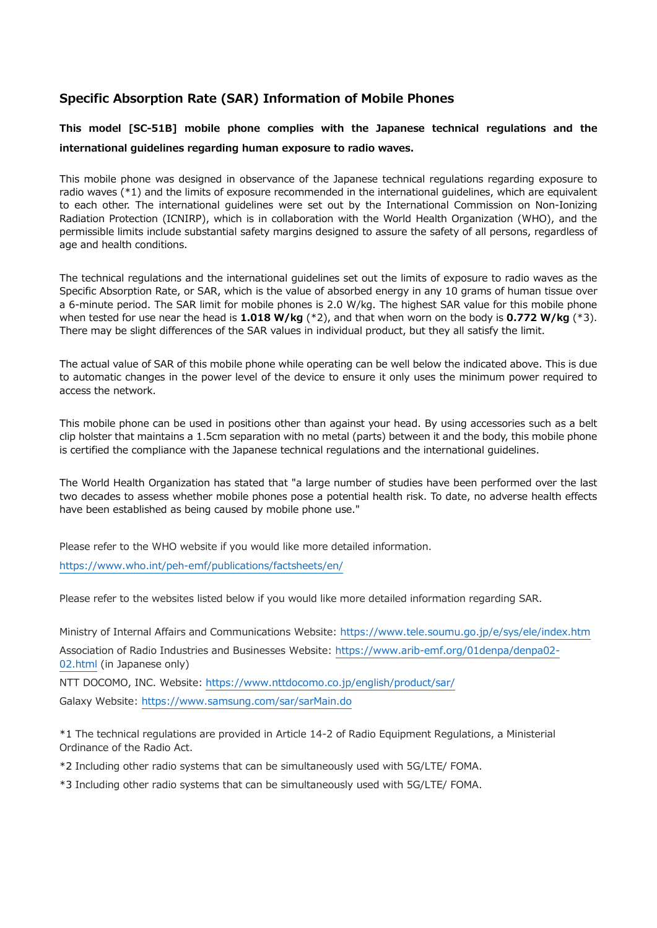# **Specific Absorption Rate (SAR) Information of Mobile Phones**

**This model [SC-51B] mobile phone complies with the Japanese technical regulations and the international guidelines regarding human exposure to radio waves.**

This mobile phone was designed in observance of the Japanese technical regulations regarding exposure to radio waves (\*1) and the limits of exposure recommended in the international guidelines, which are equivalent to each other. The international guidelines were set out by the International Commission on Non-Ionizing Radiation Protection (ICNIRP), which is in collaboration with the World Health Organization (WHO), and the permissible limits include substantial safety margins designed to assure the safety of all persons, regardless of age and health conditions.

The technical regulations and the international guidelines set out the limits of exposure to radio waves as the Specific Absorption Rate, or SAR, which is the value of absorbed energy in any 10 grams of human tissue over a 6-minute period. The SAR limit for mobile phones is 2.0 W/kg. The highest SAR value for this mobile phone when tested for use near the head is **1.018 W/kg** (\*2), and that when worn on the body is **0.772 W/kg** (\*3). There may be slight differences of the SAR values in individual product, but they all satisfy the limit.

The actual value of SAR of this mobile phone while operating can be well below the indicated above. This is due to automatic changes in the power level of the device to ensure it only uses the minimum power required to access the network.

This mobile phone can be used in positions other than against your head. By using accessories such as a belt clip holster that maintains a 1.5cm separation with no metal (parts) between it and the body, this mobile phone is certified the compliance with the Japanese technical regulations and the international guidelines.

The World Health Organization has stated that "a large number of studies have been performed over the last two decades to assess whether mobile phones pose a potential health risk. To date, no adverse health effects have been established as being caused by mobile phone use."

Please refer to the WHO website if you would like more detailed information.

<https://www.who.int/peh-emf/publications/factsheets/en/>

Please refer to the websites listed below if you would like more detailed information regarding SAR.

Ministry of Internal Affairs and Communications Website:<https://www.tele.soumu.go.jp/e/sys/ele/index.htm>

Association of Radio Industries and Businesses Website: [https://www.arib-emf.org/01denpa/denpa02-](https://www.arib-emf.org/01denpa/denpa02-02.html) [02.html](https://www.arib-emf.org/01denpa/denpa02-02.html) (in Japanese only)

NTT DOCOMO, INC. Website:<https://www.nttdocomo.co.jp/english/product/sar/>

Galaxy Website:<https://www.samsung.com/sar/sarMain.do>

\*1 The technical regulations are provided in Article 14-2 of Radio Equipment Regulations, a Ministerial Ordinance of the Radio Act.

\*2 Including other radio systems that can be simultaneously used with 5G/LTE/ FOMA.

\*3 Including other radio systems that can be simultaneously used with 5G/LTE/ FOMA.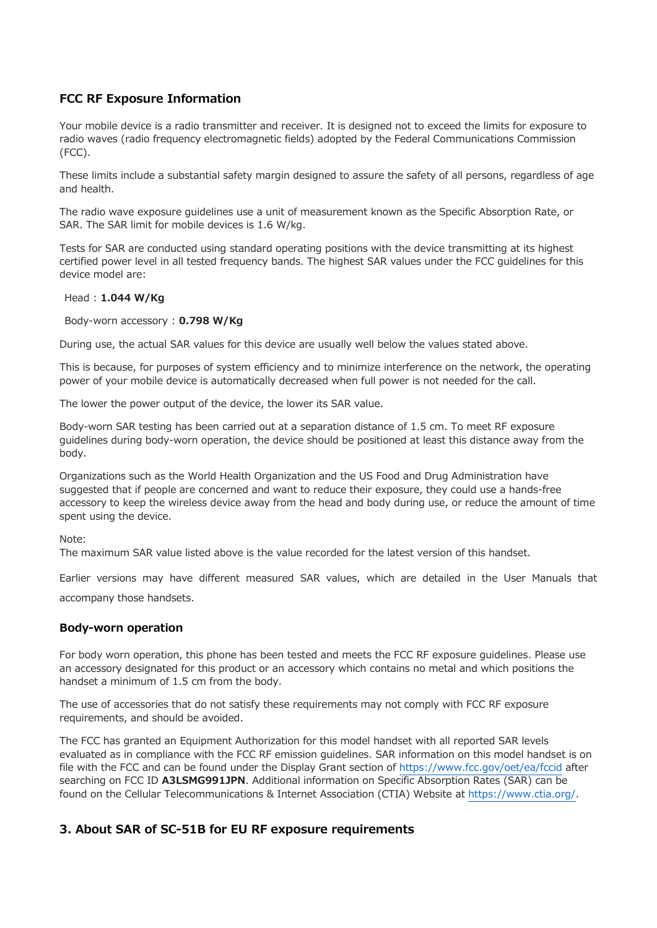## **FCC RF Exposure Information**

Your mobile device is a radio transmitter and receiver. It is designed not to exceed the limits for exposure to radio waves (radio frequency electromagnetic fields) adopted by the Federal Communications Commission (FCC).

These limits include a substantial safety margin designed to assure the safety of all persons, regardless of age and health.

The radio wave exposure guidelines use a unit of measurement known as the Specific Absorption Rate, or SAR. The SAR limit for mobile devices is 1.6 W/kg.

Tests for SAR are conducted using standard operating positions with the device transmitting at its highest certified power level in all tested frequency bands. The highest SAR values under the FCC guidelines for this device model are:

#### Head : **1.044 W/Kg**

Body-worn accessory : **0.798 W/Kg**

During use, the actual SAR values for this device are usually well below the values stated above.

This is because, for purposes of system efficiency and to minimize interference on the network, the operating power of your mobile device is automatically decreased when full power is not needed for the call.

The lower the power output of the device, the lower its SAR value.

Body-worn SAR testing has been carried out at a separation distance of 1.5 cm. To meet RF exposure guidelines during body-worn operation, the device should be positioned at least this distance away from the body.

Organizations such as the World Health Organization and the US Food and Drug Administration have suggested that if people are concerned and want to reduce their exposure, they could use a hands-free accessory to keep the wireless device away from the head and body during use, or reduce the amount of time spent using the device.

Note:

The maximum SAR value listed above is the value recorded for the latest version of this handset.

Earlier versions may have different measured SAR values, which are detailed in the User Manuals that

accompany those handsets.

### **Body-worn operation**

For body worn operation, this phone has been tested and meets the FCC RF exposure guidelines. Please use an accessory designated for this product or an accessory which contains no metal and which positions the handset a minimum of 1.5 cm from the body.

The use of accessories that do not satisfy these requirements may not comply with FCC RF exposure requirements, and should be avoided.

The FCC has granted an Equipment Authorization for this model handset with all reported SAR levels evaluated as in compliance with the FCC RF emission guidelines. SAR information on this model handset is on file with the FCC and can be found under the Display Grant section of <https://www.fcc.gov/oet/ea/fccid> after searching on FCC ID **A3LSMG991JPN**. Additional information on Specific Absorption Rates (SAR) can be found on the Cellular Telecommunications & Internet Association (CTIA) Website at [https://www.ctia.org/.](https://www.ctia.org/)

### **3. About SAR of SC-51B for EU RF exposure requirements**